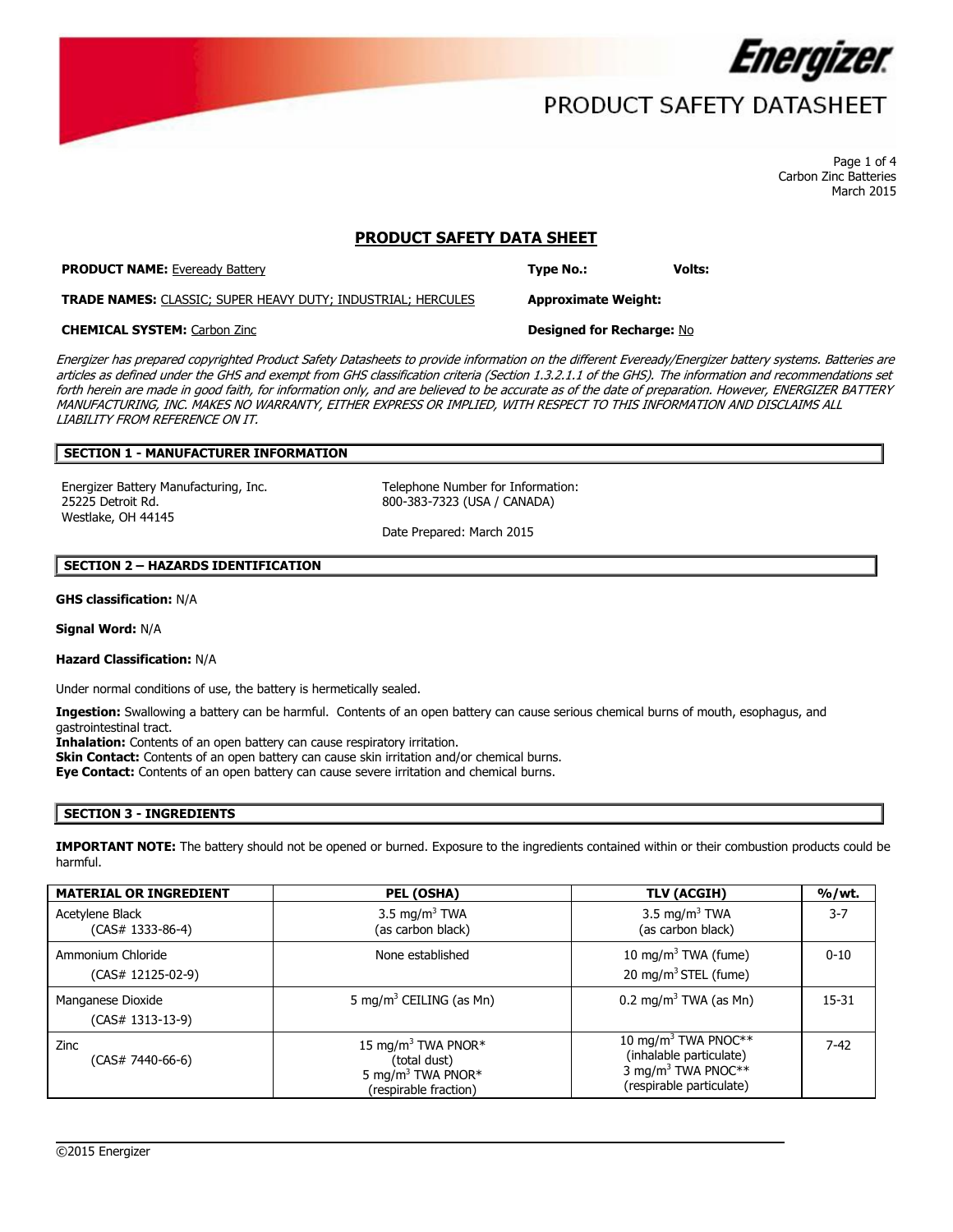

## PRODUCT SAFETY DATASHEET

Page 1 of 4 Carbon Zinc Batteries March 2015

## **PRODUCT SAFETY DATA SHEET**

**PRODUCT NAME:** Eveready Battery **Type No.: Volts:**

**TRADE NAMES:** CLASSIC; SUPER HEAVY DUTY; INDUSTRIAL; HERCULES **Approximate Weight:**

## **CHEMICAL SYSTEM:** Carbon Zinc **Designed for Recharge:** No

Energizer has prepared copyrighted Product Safety Datasheets to provide information on the different Eveready/Energizer battery systems. Batteries are articles as defined under the GHS and exempt from GHS classification criteria (Section 1.3.2.1.1 of the GHS). The information and recommendations set forth herein are made in good faith, for information only, and are believed to be accurate as of the date of preparation. However, ENERGIZER BATTERY MANUFACTURING, INC. MAKES NO WARRANTY, EITHER EXPRESS OR IMPLIED, WITH RESPECT TO THIS INFORMATION AND DISCLAIMS ALL LIABILITY FROM REFERENCE ON IT.

## **SECTION 1 - MANUFACTURER INFORMATION**

Energizer Battery Manufacturing, Inc. Telephone Number for Information: 25225 Detroit Rd. Westlake, OH 44145

800-383-7323 (USA / CANADA)

Date Prepared: March 2015

### **SECTION 2 – HAZARDS IDENTIFICATION**

**GHS classification:** N/A

**Signal Word:** N/A

#### **Hazard Classification:** N/A

Under normal conditions of use, the battery is hermetically sealed.

**Ingestion:** Swallowing a battery can be harmful. Contents of an open battery can cause serious chemical burns of mouth, esophagus, and gastrointestinal tract.

**Inhalation:** Contents of an open battery can cause respiratory irritation.

**Skin Contact:** Contents of an open battery can cause skin irritation and/or chemical burns.

**Eye Contact:** Contents of an open battery can cause severe irritation and chemical burns.

### **SECTION 3 - INGREDIENTS**

**IMPORTANT NOTE:** The battery should not be opened or burned. Exposure to the ingredients contained within or their combustion products could be harmful.

| <b>MATERIAL OR INGREDIENT</b>          | PEL (OSHA)                                                                                               | TLV (ACGIH)                                                                                                              | %/wt.     |
|----------------------------------------|----------------------------------------------------------------------------------------------------------|--------------------------------------------------------------------------------------------------------------------------|-----------|
| Acetylene Black<br>(CAS# 1333-86-4)    | 3.5 mg/m <sup>3</sup> TWA<br>(as carbon black)                                                           | 3.5 mg/m <sup>3</sup> TWA<br>(as carbon black)                                                                           | $3 - 7$   |
| Ammonium Chloride<br>(CAS# 12125-02-9) | None established                                                                                         | 10 mg/m <sup>3</sup> TWA (fume)<br>20 mg/m <sup>3</sup> STEL (fume)                                                      | $0 - 10$  |
| Manganese Dioxide<br>(CAS# 1313-13-9)  | 5 mg/m <sup>3</sup> CEILING (as Mn)                                                                      | 0.2 mg/m <sup>3</sup> TWA (as Mn)                                                                                        | $15 - 31$ |
| Zinc<br>(CAS# 7440-66-6)               | 15 mg/m <sup>3</sup> TWA PNOR*<br>(total dust)<br>5 mg/m <sup>3</sup> TWA PNOR*<br>(respirable fraction) | 10 mg/m <sup>3</sup> TWA PNOC**<br>(inhalable particulate)<br>3 mg/m <sup>3</sup> TWA PNOC**<br>(respirable particulate) | $7 - 42$  |

 $\overline{\phantom{a}}$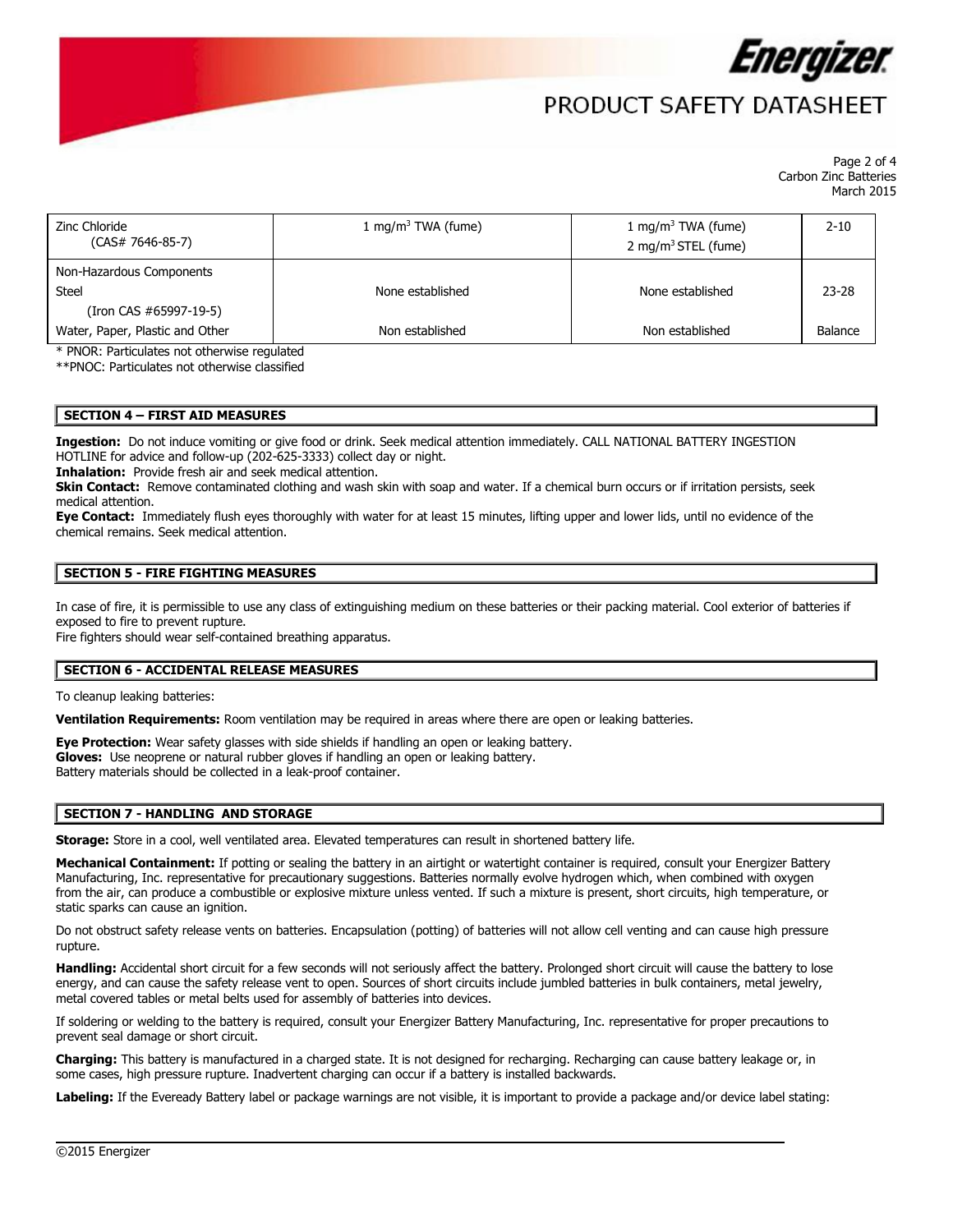

# PRODUCT SAFFTY DATASHFFT

Page 2 of 4 Carbon Zinc Batteries March 2015

| Zinc Chloride<br>$(CAS# 7646-85-7)$ | 1 mg/m <sup>3</sup> TWA (fume) | 1 mg/m <sup>3</sup> TWA (fume)<br>2 mg/m <sup>3</sup> STEL (fume) | $2 - 10$  |
|-------------------------------------|--------------------------------|-------------------------------------------------------------------|-----------|
| Non-Hazardous Components<br>Steel   | None established               | None established                                                  | $23 - 28$ |
| (Iron CAS #65997-19-5)              |                                |                                                                   |           |
| Water, Paper, Plastic and Other     | Non established                | Non established                                                   | Balance   |

\* PNOR: Particulates not otherwise regulated

\*\*PNOC: Particulates not otherwise classified

### **SECTION 4 – FIRST AID MEASURES**

**Ingestion:** Do not induce vomiting or give food or drink. Seek medical attention immediately. CALL NATIONAL BATTERY INGESTION HOTLINE for advice and follow-up (202-625-3333) collect day or night.

**Inhalation:** Provide fresh air and seek medical attention.

**Skin Contact:** Remove contaminated clothing and wash skin with soap and water. If a chemical burn occurs or if irritation persists, seek medical attention.

**Eye Contact:** Immediately flush eyes thoroughly with water for at least 15 minutes, lifting upper and lower lids, until no evidence of the chemical remains. Seek medical attention.

### **SECTION 5 - FIRE FIGHTING MEASURES**

In case of fire, it is permissible to use any class of extinguishing medium on these batteries or their packing material. Cool exterior of batteries if exposed to fire to prevent rupture.

Fire fighters should wear self-contained breathing apparatus.

### **SECTION 6 - ACCIDENTAL RELEASE MEASURES**

To cleanup leaking batteries:

**Ventilation Requirements:** Room ventilation may be required in areas where there are open or leaking batteries.

**Eye Protection:** Wear safety glasses with side shields if handling an open or leaking battery.

**Gloves:** Use neoprene or natural rubber gloves if handling an open or leaking battery.

Battery materials should be collected in a leak-proof container.

## **SECTION 7 - HANDLING AND STORAGE**

**Storage:** Store in a cool, well ventilated area. Elevated temperatures can result in shortened battery life.

Mechanical Containment: If potting or sealing the battery in an airtight or watertight container is required, consult your Energizer Battery Manufacturing, Inc. representative for precautionary suggestions. Batteries normally evolve hydrogen which, when combined with oxygen from the air, can produce a combustible or explosive mixture unless vented. If such a mixture is present, short circuits, high temperature, or static sparks can cause an ignition.

Do not obstruct safety release vents on batteries. Encapsulation (potting) of batteries will not allow cell venting and can cause high pressure rupture.

**Handling:** Accidental short circuit for a few seconds will not seriously affect the battery. Prolonged short circuit will cause the battery to lose energy, and can cause the safety release vent to open. Sources of short circuits include jumbled batteries in bulk containers, metal jewelry, metal covered tables or metal belts used for assembly of batteries into devices.

If soldering or welding to the battery is required, consult your Energizer Battery Manufacturing, Inc. representative for proper precautions to prevent seal damage or short circuit.

**Charging:** This battery is manufactured in a charged state. It is not designed for recharging. Recharging can cause battery leakage or, in some cases, high pressure rupture. Inadvertent charging can occur if a battery is installed backwards.

**Labeling:** If the Eveready Battery label or package warnings are not visible, it is important to provide a package and/or device label stating:

 $\overline{\phantom{a}}$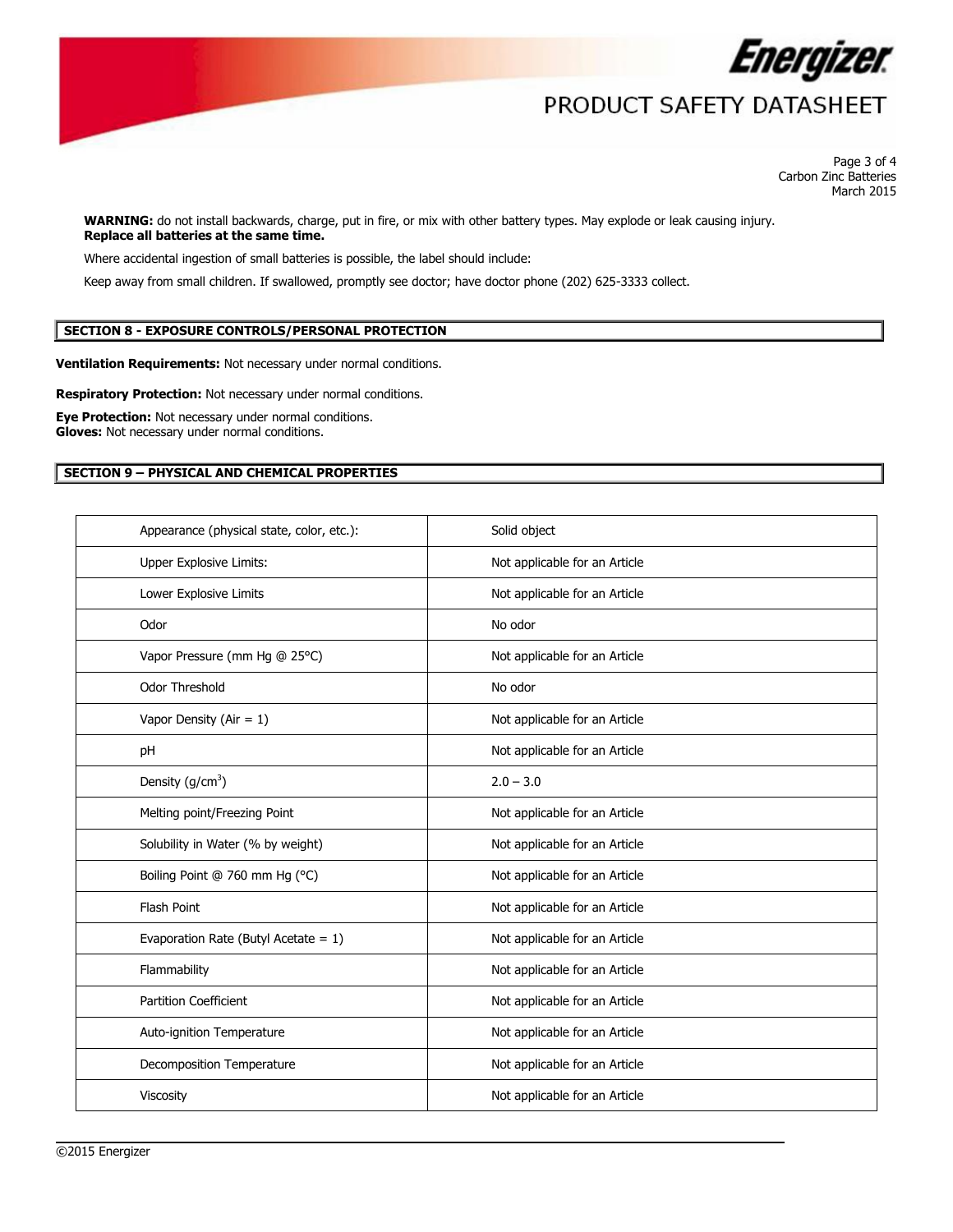

# PRODUCT SAFETY DATASHEET

Page 3 of 4 Carbon Zinc Batteries March 2015

**WARNING:** do not install backwards, charge, put in fire, or mix with other battery types. May explode or leak causing injury. **Replace all batteries at the same time.**

Where accidental ingestion of small batteries is possible, the label should include:

Keep away from small children. If swallowed, promptly see doctor; have doctor phone (202) 625-3333 collect.

## **SECTION 8 - EXPOSURE CONTROLS/PERSONAL PROTECTION**

**Ventilation Requirements:** Not necessary under normal conditions.

**Respiratory Protection:** Not necessary under normal conditions.

**Eye Protection:** Not necessary under normal conditions. **Gloves:** Not necessary under normal conditions.

## **SECTION 9 – PHYSICAL AND CHEMICAL PROPERTIES**

| Appearance (physical state, color, etc.): | Solid object                  |
|-------------------------------------------|-------------------------------|
| Upper Explosive Limits:                   | Not applicable for an Article |
| Lower Explosive Limits                    | Not applicable for an Article |
| Odor                                      | No odor                       |
| Vapor Pressure (mm Hg @ 25°C)             | Not applicable for an Article |
| Odor Threshold                            | No odor                       |
| Vapor Density (Air = $1$ )                | Not applicable for an Article |
| pH                                        | Not applicable for an Article |
| Density $(g/cm3)$                         | $2.0 - 3.0$                   |
| Melting point/Freezing Point              | Not applicable for an Article |
| Solubility in Water (% by weight)         | Not applicable for an Article |
| Boiling Point @ 760 mm Hg (°C)            | Not applicable for an Article |
| Flash Point                               | Not applicable for an Article |
| Evaporation Rate (Butyl Acetate = $1$ )   | Not applicable for an Article |
| Flammability                              | Not applicable for an Article |
| <b>Partition Coefficient</b>              | Not applicable for an Article |
| Auto-ignition Temperature                 | Not applicable for an Article |
| Decomposition Temperature                 | Not applicable for an Article |
| Viscosity                                 | Not applicable for an Article |

 $\overline{\phantom{a}}$